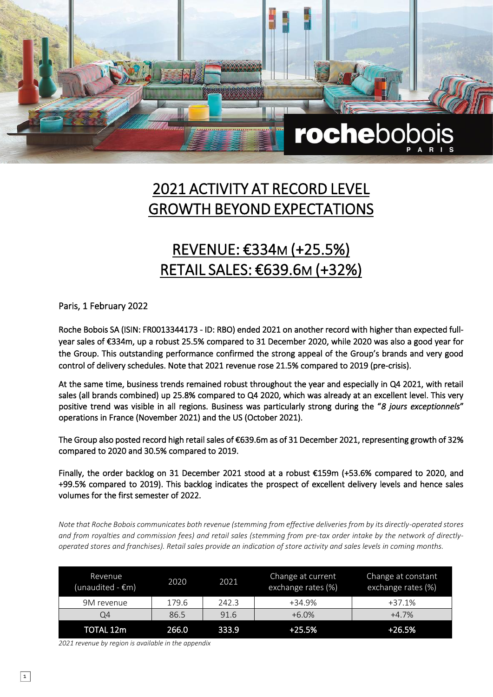

## 2021 ACTIVITY AT RECORD LEVEL GROWTH BEYOND EXPECTATIONS

### REVENUE: €334M (+25.5%) RETAIL SALES: €639.6M (+32%)

Paris, 1 February 2022

Roche Bobois SA (ISIN: FR0013344173 - ID: RBO) ended 2021 on another record with higher than expected fullyear sales of €334m, up a robust 25.5% compared to 31 December 2020, while 2020 was also a good year for the Group. This outstanding performance confirmed the strong appeal of the Group's brands and very good control of delivery schedules. Note that 2021 revenue rose 21.5% compared to 2019 (pre-crisis).

At the same time, business trends remained robust throughout the year and especially in Q4 2021, with retail sales (all brands combined) up 25.8% compared to Q4 2020, which was already at an excellent level. This very positive trend was visible in all regions. Business was particularly strong during the "*8 jours exceptionnels*" operations in France (November 2021) and the US (October 2021).

The Group also posted record high retail sales of €639.6m as of 31 December 2021, representing growth of 32% compared to 2020 and 30.5% compared to 2019.

Finally, the order backlog on 31 December 2021 stood at a robust €159m (+53.6% compared to 2020, and +99.5% compared to 2019). This backlog indicates the prospect of excellent delivery levels and hence sales volumes for the first semester of 2022.

*Note that Roche Bobois communicates both revenue (stemming from effective deliveries from by its directly-operated stores and from royalties and commission fees) and retail sales (stemming from pre-tax order intake by the network of directlyoperated stores and franchises). Retail sales provide an indication of store activity and sales levels in coming months.*

| Revenue<br>(unaudited - €m) | 2020  | 2021  | Change at current<br>exchange rates (%) | Change at constant<br>exchange rates (%) |
|-----------------------------|-------|-------|-----------------------------------------|------------------------------------------|
| 9M revenue                  | 179.6 | 242.3 | +34.9%                                  | $+37.1%$                                 |
| Q4                          | 86.5  | 91.6  | $+6.0%$                                 | $+4.7%$                                  |
| TOTAL 12m                   | 266.0 | 333.9 | $+25.5%$                                | +26.5%                                   |

*2021 revenue by region is available in the appendix*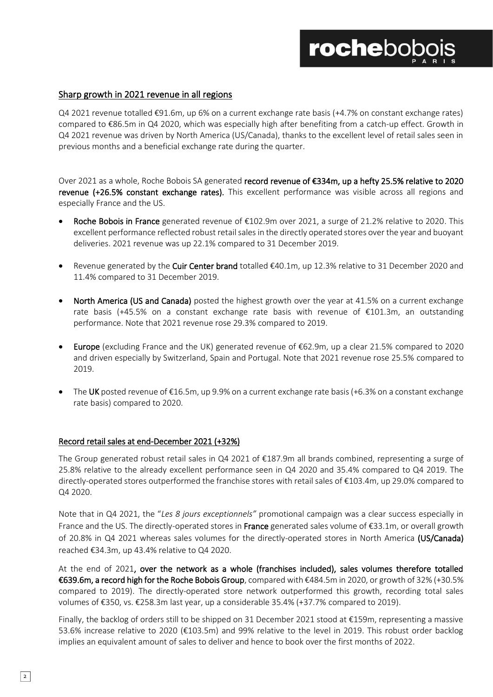#### Sharp growth in 2021 revenue in all regions

Q4 2021 revenue totalled €91.6m, up 6% on a current exchange rate basis (+4.7% on constant exchange rates) compared to €86.5m in Q4 2020, which was especially high after benefiting from a catch-up effect. Growth in Q4 2021 revenue was driven by North America (US/Canada), thanks to the excellent level of retail sales seen in previous months and a beneficial exchange rate during the quarter.

Over 2021 as a whole, Roche Bobois SA generated record revenue of €334m, up a hefty 25.5% relative to 2020 revenue (+26.5% constant exchange rates). This excellent performance was visible across all regions and especially France and the US.

- Roche Bobois in France generated revenue of €102.9m over 2021, a surge of 21.2% relative to 2020. This excellent performance reflected robust retail sales in the directly operated stores over the year and buoyant deliveries. 2021 revenue was up 22.1% compared to 31 December 2019.
- Revenue generated by the Cuir Center brand totalled €40.1m, up 12.3% relative to 31 December 2020 and 11.4% compared to 31 December 2019.
- North America (US and Canada) posted the highest growth over the year at 41.5% on a current exchange rate basis (+45.5% on a constant exchange rate basis with revenue of €101.3m, an outstanding performance. Note that 2021 revenue rose 29.3% compared to 2019.
- Europe (excluding France and the UK) generated revenue of €62.9m, up a clear 21.5% compared to 2020 and driven especially by Switzerland, Spain and Portugal. Note that 2021 revenue rose 25.5% compared to 2019.
- The UK posted revenue of  $E16.5m$ , up 9.9% on a current exchange rate basis (+6.3% on a constant exchange rate basis) compared to 2020.

#### Record retail sales at end-December 2021 (+32%)

The Group generated robust retail sales in Q4 2021 of €187.9m all brands combined, representing a surge of 25.8% relative to the already excellent performance seen in Q4 2020 and 35.4% compared to Q4 2019. The directly-operated stores outperformed the franchise stores with retail sales of €103.4m, up 29.0% compared to Q4 2020.

Note that in Q4 2021, the "*Les 8 jours exceptionnels"* promotional campaign was a clear success especially in France and the US. The directly-operated stores in France generated sales volume of €33.1m, or overall growth of 20.8% in Q4 2021 whereas sales volumes for the directly-operated stores in North America (US/Canada) reached €34.3m, up 43.4% relative to Q4 2020.

At the end of 2021, over the network as a whole (franchises included), sales volumes therefore totalled €639.6m, a record high for the Roche Bobois Group, compared with €484.5m in 2020, or growth of 32% (+30.5% compared to 2019). The directly-operated store network outperformed this growth, recording total sales volumes of €350, vs. €258.3m last year, up a considerable 35.4% (+37.7% compared to 2019).

Finally, the backlog of orders still to be shipped on 31 December 2021 stood at €159m, representing a massive 53.6% increase relative to 2020 (€103.5m) and 99% relative to the level in 2019. This robust order backlog implies an equivalent amount of sales to deliver and hence to book over the first months of 2022.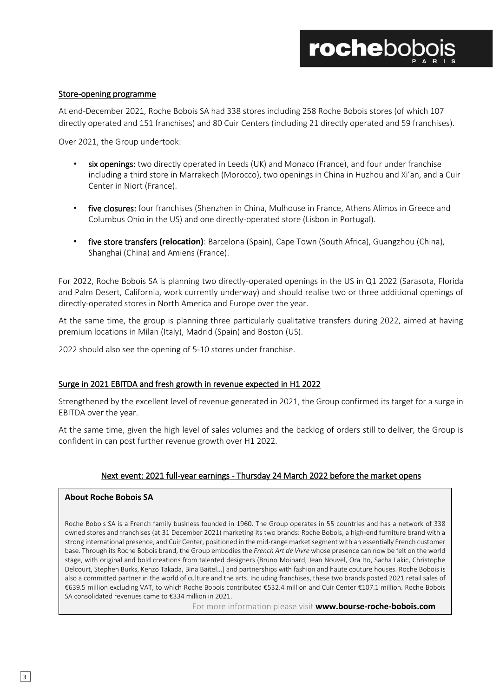## **rochebob**

#### Store-opening programme

At end-December 2021, Roche Bobois SA had 338 stores including 258 Roche Bobois stores (of which 107 directly operated and 151 franchises) and 80 Cuir Centers (including 21 directly operated and 59 franchises).

Over 2021, the Group undertook:

- six openings: two directly operated in Leeds (UK) and Monaco (France), and four under franchise including a third store in Marrakech (Morocco), two openings in China in Huzhou and Xi'an, and a Cuir Center in Niort (France).
- five closures: four franchises (Shenzhen in China, Mulhouse in France, Athens Alimos in Greece and Columbus Ohio in the US) and one directly-operated store (Lisbon in Portugal).
- five store transfers **(relocation)**: Barcelona (Spain), Cape Town (South Africa), Guangzhou (China), Shanghai (China) and Amiens (France).

For 2022, Roche Bobois SA is planning two directly-operated openings in the US in Q1 2022 (Sarasota, Florida and Palm Desert, California, work currently underway) and should realise two or three additional openings of directly-operated stores in North America and Europe over the year.

At the same time, the group is planning three particularly qualitative transfers during 2022, aimed at having premium locations in Milan (Italy), Madrid (Spain) and Boston (US).

2022 should also see the opening of 5-10 stores under franchise.

#### Surge in 2021 EBITDA and fresh growth in revenue expected in H1 2022

Strengthened by the excellent level of revenue generated in 2021, the Group confirmed its target for a surge in EBITDA over the year.

At the same time, given the high level of sales volumes and the backlog of orders still to deliver, the Group is confident in can post further revenue growth over H1 2022.

#### Next event: 2021 full-year earnings - Thursday 24 March 2022 before the market opens

#### **About Roche Bobois SA**

Roche Bobois SA is a French family business founded in 1960. The Group operates in 55 countries and has a network of 338 owned stores and franchises (at 31 December 2021) marketing its two brands: Roche Bobois, a high-end furniture brand with a strong international presence, and Cuir Center, positioned in the mid-range market segment with an essentially French customer base. Through its Roche Bobois brand, the Group embodies the *French Art de Vivre* whose presence can now be felt on the world stage, with original and bold creations from talented designers (Bruno Moinard, Jean Nouvel, Ora Ito, Sacha Lakic, Christophe Delcourt, Stephen Burks, Kenzo Takada, Bina Baitel...) and partnerships with fashion and haute couture houses. Roche Bobois is also a committed partner in the world of culture and the arts. Including franchises, these two brands posted 2021 retail sales of €639.5 million excluding VAT, to which Roche Bobois contributed €532.4 million and Cuir Center €107.1 million. Roche Bobois SA consolidated revenues came to €334 million in 2021.

For more information please visit **www.bourse-roche-bobois.com**

 $\overline{\phantom{a}}$ 

 $\overline{\phantom{a}}$ 

 $\overline{\phantom{a}}$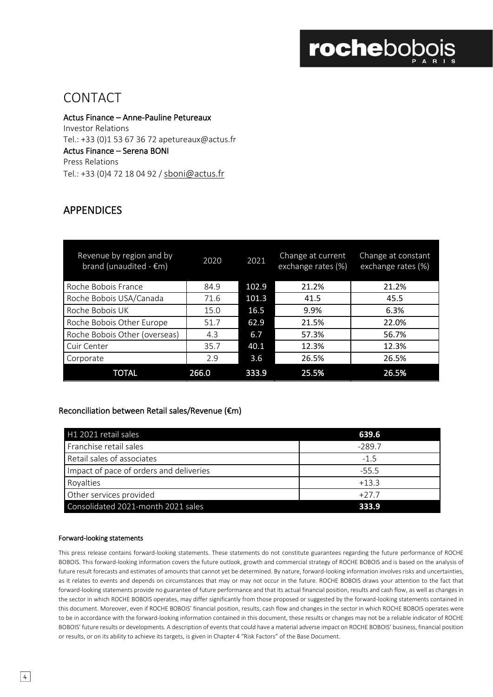# rochebobois

### CONTACT

Actus Finance – Anne-Pauline Petureaux Investor Relations Tel.: +33 (0)1 53 67 36 72 apetureaux@actus.fr Actus Finance – Serena BONI Press Relations Tel.: +33 (0)4 72 18 04 92 / [sboni@actus.fr](mailto:sboni@actus.fr)

### APPENDICES

| Revenue by region and by<br>brand (unaudited - $\epsilon$ m) | 2020  | 2021  | Change at current<br>exchange rates (%) | Change at constant<br>exchange rates (%) |
|--------------------------------------------------------------|-------|-------|-----------------------------------------|------------------------------------------|
| Roche Bobois France                                          | 84.9  | 102.9 | 21.2%                                   | 21.2%                                    |
| Roche Bobois USA/Canada                                      | 71.6  | 101.3 | 41.5                                    | 45.5                                     |
| Roche Bobois UK                                              | 15.0  | 16.5  | 9.9%                                    | 6.3%                                     |
| Roche Bobois Other Europe                                    | 51.7  | 62.9  | 21.5%                                   | 22.0%                                    |
| Roche Bobois Other (overseas)                                | 4.3   | 6.7   | 57.3%                                   | 56.7%                                    |
| Cuir Center                                                  | 35.7  | 40.1  | 12.3%                                   | 12.3%                                    |
| Corporate                                                    | 2.9   | 3.6   | 26.5%                                   | 26.5%                                    |
| TOTAL                                                        | 266.0 | 333.9 | 25.5%                                   | 26.5%                                    |

#### Reconciliation between Retail sales/Revenue (€m)

| H1 2021 retail sales                    | 639.6    |  |
|-----------------------------------------|----------|--|
| Franchise retail sales                  | $-289.7$ |  |
| Retail sales of associates              | $-1.5$   |  |
| Impact of pace of orders and deliveries | $-55.5$  |  |
| Royalties                               | $+13.3$  |  |
| Other services provided                 | $+27.7$  |  |
| Consolidated 2021-month 2021 sales      | 333.9    |  |

#### Forward-looking statements

This press release contains forward-looking statements. These statements do not constitute guarantees regarding the future performance of ROCHE BOBOIS. This forward-looking information covers the future outlook, growth and commercial strategy of ROCHE BOBOIS and is based on the analysis of future result forecasts and estimates of amounts that cannot yet be determined. By nature, forward-looking information involves risks and uncertainties, as it relates to events and depends on circumstances that may or may not occur in the future. ROCHE BOBOIS draws your attention to the fact that forward-looking statements provide no guarantee of future performance and that its actual financial position, results and cash flow, as well as changes in the sector in which ROCHE BOBOIS operates, may differ significantly from those proposed or suggested by the forward-looking statements contained in this document. Moreover, even if ROCHE BOBOIS' financial position, results, cash flow and changes in the sector in which ROCHE BOBOIS operates were to be in accordance with the forward-looking information contained in this document, these results or changes may not be a reliable indicator of ROCHE BOBOIS' future results or developments. A description of events that could have a material adverse impact on ROCHE BOBOIS' business, financial position or results, or on its ability to achieve its targets, is given in Chapter 4 "Risk Factors" of the Base Document.